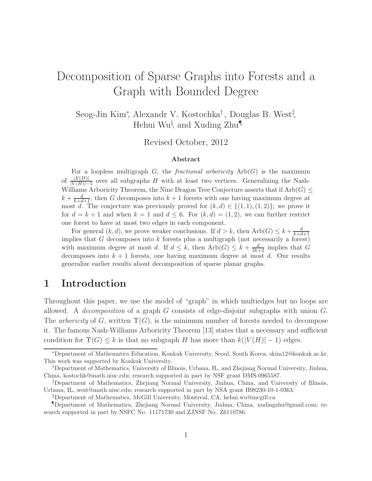# Decomposition of Sparse Graphs into Forests and a Graph with Bounded Degree

Seog-Jin Kim<sup>∗</sup> , Alexandr V. Kostochka† , Douglas B. West‡ , Hehui Wu<sup>§</sup>, and Xuding Zhu¶

Revised October, 2012

#### Abstract

For a loopless multigraph G, the *fractional arboricity*  $Arb(G)$  is the maximum of  $\frac{|E(H)|}{|V(H)|-1}$  over all subgraphs H with at least two vertices. Generalizing the Nash-Williams Arboricity Theorem, the Nine Dragon Tree Conjecture asserts that if  $Arb(G) \le$  $k + \frac{d}{k+d+1}$ , then G decomposes into  $k+1$  forests with one having maximum degree at most d. The conjecture was previously proved for  $(k,d) \in \{(1,1), (1,2)\}$ ; we prove it for  $d = k + 1$  and when  $k = 1$  and  $d \leq 6$ . For  $(k, d) = (1, 2)$ , we can further restrict one forest to have at most two edges in each component.

For general  $(k, d)$ , we prove weaker conclusions. If  $d > k$ , then  $Arb(G) \leq k + \frac{d}{k+d}$  $k+d+1$ implies that  $G$  decomposes into  $k$  forests plus a multigraph (not necessarily a forest) with maximum degree at most d. If  $d \leq k$ , then  $Arb(G) \leq k + \frac{d}{2k+2}$  implies that G decomposes into  $k+1$  forests, one having maximum degree at most d. Our results generalize earlier results about decomposition of sparse planar graphs.

## 1 Introduction

Throughout this paper, we use the model of "graph" in which multiedges but no loops are allowed. A *decomposition* of a graph G consists of edge-disjoint subgraphs with union G. The *arboricity* of G, written  $\Upsilon(G)$ , is the minimum number of forests needed to decompose it. The famous Nash-Williams Arboricity Theorem [13] states that a necessary and sufficient condition for  $\Upsilon(G) \leq k$  is that no subgraph H has more than  $k(|V(H)| - 1)$  edges.

<sup>∗</sup>Department of Mathematics Education, Konkuk University, Seoul, South Korea, skim12@konkuk.ac.kr. This work was supported by Konkuk University.

<sup>†</sup>Department of Mathematics, University of Illinois, Urbana, IL, and Zhejiang Normal University, Jinhua, China, kostochk@math.uiuc.edu; research supported in part by NSF grant DMS-0965587.

<sup>‡</sup>Department of Mathematics, Zhejiang Normal University, Jinhua, China, and University of Illinois, Urbana, IL, west@math.uiuc.edu; research supported in part by NSA grant H98230-10-1-0363.

<sup>§</sup>Department of Mathematics, McGill University, Montreal, CA, hehui.wu@mcgill.ca

<sup>¶</sup>Department of Mathematics, Zhejiang Normal University, Jinhua, China, xudingzhu@gmail.com; research supported in part by NSFC No. 11171730 and ZJNSF No. Z6110786.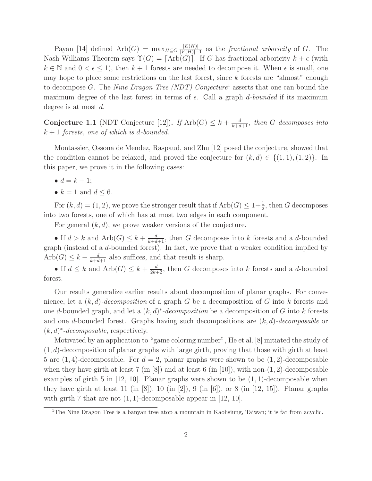Payan [14] defined  $Arb(G) = \max_{H \subseteq G} \frac{|E(H)|}{|V(H)|}$  $\frac{|E(H)|}{|V(H)|-1}$  as the *fractional arboricity* of G. The Nash-Williams Theorem says  $\Upsilon(G) = [\text{Arb}(G)]$ . If G has fractional arboricity  $k + \epsilon$  (with  $k \in \mathbb{N}$  and  $0 < \epsilon < 1$ , then  $k+1$  forests are needed to decompose it. When  $\epsilon$  is small, one may hope to place some restrictions on the last forest, since  $k$  forests are "almost" enough to decompose G. The *Nine Dragon Tree (NDT) Conjecture*<sup>1</sup> asserts that one can bound the maximum degree of the last forest in terms of  $\epsilon$ . Call a graph *d-bounded* if its maximum degree is at most d.

**Conjecture 1.1** (NDT Conjecture [12]). *If* Arb( $G$ )  $\leq k + \frac{d}{k+d+1}$ , then  $G$  decomposes into k + 1 *forests, one of which is* d*-bounded.*

Montassier, Ossona de Mendez, Raspaud, and Zhu [12] posed the conjecture, showed that the condition cannot be relaxed, and proved the conjecture for  $(k, d) \in \{(1, 1), (1, 2)\}\.$  In this paper, we prove it in the following cases:

- $d = k + 1$ ;
- $k = 1$  and  $d \leq 6$ .

For  $(k, d) = (1, 2)$ , we prove the stronger result that if  $Arb(G) \leq 1 + \frac{1}{2}$ , then G decomposes into two forests, one of which has at most two edges in each component.

For general  $(k, d)$ , we prove weaker versions of the conjecture.

• If  $d > k$  and  $Arb(G) \leq k + \frac{d}{k+d+1}$ , then G decomposes into k forests and a d-bounded graph (instead of a d-bounded forest). In fact, we prove that a weaker condition implied by  $Arb(G) \leq k + \frac{d}{k+d+1}$  also suffices, and that result is sharp.

• If  $d \leq k$  and  $Arb(G) \leq k + \frac{d}{2k+2}$ , then G decomposes into k forests and a d-bounded forest.

Our results generalize earlier results about decomposition of planar graphs. For convenience, let a (k, d)*-decomposition* of a graph G be a decomposition of G into k forests and one d-bounded graph, and let a (k, d) ∗ *-decomposition* be a decomposition of G into k forests and one d-bounded forest. Graphs having such decompositions are (k, d)*-decomposable* or  $(k, d)^*$ -*decomposable*, respectively.

Motivated by an application to "game coloring number", He et al. [8] initiated the study of  $(1, d)$ -decomposition of planar graphs with large girth, proving that those with girth at least 5 are  $(1, 4)$ -decomposable. For  $d = 2$ , planar graphs were shown to be  $(1, 2)$ -decomposable when they have girth at least 7 (in  $[8]$ ) and at least 6 (in [10]), with non-(1, 2)-decomposable examples of girth 5 in  $[12, 10]$ . Planar graphs were shown to be  $(1, 1)$ -decomposable when they have girth at least 11 (in [8]), 10 (in [2]), 9 (in [6]), or 8 (in [12, 15]). Planar graphs with girth 7 that are not  $(1, 1)$ -decomposable appear in  $[12, 10]$ .

<sup>&</sup>lt;sup>1</sup>The Nine Dragon Tree is a banyan tree atop a mountain in Kaohsiung, Taiwan; it is far from acyclic.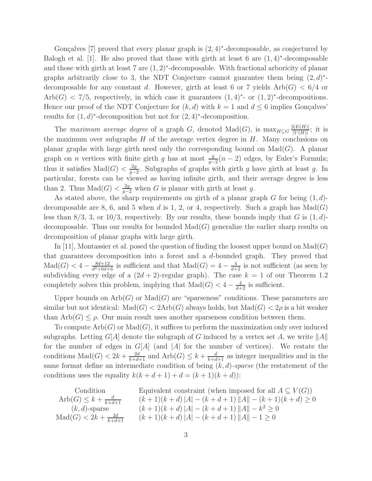Gonçalves [7] proved that every planar graph is  $(2, 4)$ <sup>\*</sup>-decomposable, as conjectured by Balogh et al. [1]. He also proved that those with girth at least 6 are  $(1,4)$ <sup>\*</sup>-decomposable and those with girth at least 7 are (1, 2)<sup>∗</sup> -decomposable. With fractional arboricity of planar graphs arbitrarily close to 3, the NDT Conjecture cannot guarantee them being  $(2, d)^*$ decomposable for any constant d. However, girth at least 6 or 7 yields  $Arb(G) < 6/4$  or  $Arb(G) < 7/5$ , respectively, in which case it guarantees  $(1,4)^*$ - or  $(1,2)^*$ -decompositions. Hence our proof of the NDT Conjecture for  $(k, d)$  with  $k = 1$  and  $d \leq 6$  implies Gonçalves results for  $(1, d)^*$ -decomposition but not for  $(2, 4)^*$ -decomposition.

The *maximum average degree* of a graph G, denoted Mad(G), is  $\max_{H \subseteq G} \frac{2|E(H)|}{|V(H)|}$  $\frac{Z[E(H)]}{|V(H)|}$ ; it is the maximum over subgraphs  $H$  of the average vertex degree in  $H$ . Many conclusions on planar graphs with large girth need only the corresponding bound on  $\text{Mad}(G)$ . A planar graph on *n* vertices with finite girth g has at most  $\frac{g}{g-2}(n-2)$  edges, by Euler's Formula; thus it satisfies  $\text{Mad}(G) < \frac{2g}{g}$  $\frac{2g}{g-2}$ . Subgraphs of graphs with girth g have girth at least g. In particular, forests can be viewed as having infinite girth, and their average degree is less than 2. Thus  $\text{Mad}(G) < \frac{2g}{g-2}$  when G is planar with girth at least g.

As stated above, the sharp requirements on girth of a planar graph  $G$  for being  $(1, d)$ decomposable are 8, 6, and 5 when d is 1, 2, or 4, respectively. Such a graph has  $\text{Mad}(G)$ less than  $8/3$ , 3, or  $10/3$ , respectively. By our results, these bounds imply that G is  $(1, d)$ decomposable. Thus our results for bounded  $\text{Mad}(G)$  generalize the earlier sharp results on decomposition of planar graphs with large girth.

In [11], Montassier et al. posed the question of finding the loosest upper bound on  $\text{Mad}(G)$ that guarantees decomposition into a forest and a  $d$ -bounded graph. They proved that  $\text{Mad}(G) < 4 - \frac{8d+12}{d^2+6d+1}$  $\frac{8d+12}{d^2+6d+6}$  is sufficient and that  $\text{Mad}(G) = 4 - \frac{4}{d+2}$  is not sufficient (as seen by subdividing every edge of a  $(2d + 2)$ -regular graph). The case  $k = 1$  of our Theorem 1.2 completely solves this problem, implying that  $\text{Mad}(G) < 4 - \frac{4}{d+2}$  is sufficient.

Upper bounds on  $Arb(G)$  or  $Mad(G)$  are "sparseness" conditions. These parameters are similar but not identical:  $\text{Mad}(G) < 2\text{Arb}(G)$  always holds, but  $\text{Mad}(G) < 2\rho$  is a bit weaker than  $Arb(G) \leq \rho$ . Our main result uses another sparseness condition between them.

To compute  $Arb(G)$  or  $Mad(G)$ , it suffices to perform the maximization only over induced subgraphs. Letting  $G[A]$  denote the subgraph of G induced by a vertex set A, we write  $||A||$ for the number of edges in  $G[A]$  (and  $|A|$  for the number of vertices). We restate the conditions  $\text{Mad}(G) < 2k + \frac{2d}{k+d+1}$  and  $\text{Arb}(G) \leq k + \frac{d}{k+d+1}$  as integer inequalities and in the same format define an intermediate condition of being (k, d)*-sparse* (the restatement of the conditions uses the equality  $k(k + d + 1) + d = (k + 1)(k + d)$ :

Condition  
\n
$$
\begin{array}{ccc}\n\text{Condition} & \text{Equivalent constraint (when imposed for all } A \subseteq V(G)) \\
\text{Arb}(G) \le k + \frac{d}{k + d + 1} & (k + 1)(k + d) |A| - (k + d + 1) ||A|| - (k + 1)(k + d) \ge 0 \\
(k, d)\text{-sparse} & (k + 1)(k + d) |A| - (k + d + 1) ||A|| - k^2 \ge 0 \\
\text{Mad}(G) < 2k + \frac{2d}{k + d + 1} & (k + 1)(k + d) |A| - (k + d + 1) ||A|| - 1 \ge 0\n\end{array}
$$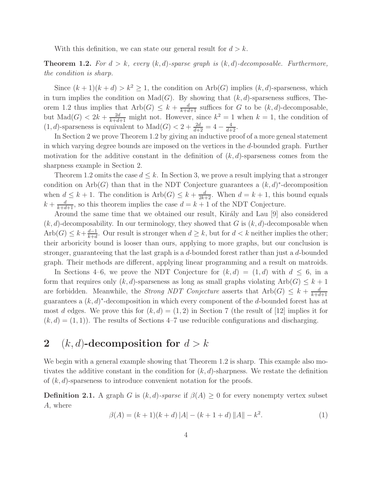With this definition, we can state our general result for  $d > k$ .

**Theorem 1.2.** For  $d > k$ , every  $(k, d)$ -sparse graph is  $(k, d)$ -decomposable. Furthermore, *the condition is sharp.*

Since  $(k+1)(k+d) > k^2 > 1$ , the condition on Arb(G) implies  $(k, d)$ -sparseness, which in turn implies the condition on  $\text{Mad}(G)$ . By showing that  $(k, d)$ -sparseness suffices, Theorem 1.2 thus implies that  $Arb(G) \leq k + \frac{d}{k+d+1}$  suffices for G to be  $(k, d)$ -decomposable, but  $\text{Mad}(G) < 2k + \frac{2d}{k+d+1}$  might not. However, since  $k^2 = 1$  when  $k = 1$ , the condition of  $(1, d)$ -sparseness is equivalent to  $\text{Mad}(G) < 2 + \frac{2d}{d+2} = 4 - \frac{4}{d+2}$ .

In Section 2 we prove Theorem 1.2 by giving an inductive proof of a more geneal statement in which varying degree bounds are imposed on the vertices in the d-bounded graph. Further motivation for the additive constant in the definition of  $(k, d)$ -sparseness comes from the sharpness example in Section 2.

Theorem 1.2 omits the case  $d \leq k$ . In Section 3, we prove a result implying that a stronger condition on Arb(G) than that in the NDT Conjecture guarantees a  $(k, d)^*$ -decomposition when  $d \leq k+1$ . The condition is  $Arb(G) \leq k + \frac{d}{2k+2}$ . When  $d = k+1$ , this bound equals  $k + \frac{d}{k+d+1}$ , so this theorem implies the case  $d = k + 1$  of the NDT Conjecture.

Around the same time that we obtained our result, Király and Lau [9] also considered  $(k, d)$ -decomposability. In our terminology, they showed that G is  $(k, d)$ -decomposable when  $Arb(G) \leq k + \frac{d-1}{k+d}$  $\frac{d-1}{k+d}$ . Our result is stronger when  $d \geq k$ , but for  $d < k$  neither implies the other; their arboricity bound is looser than ours, applying to more graphs, but our conclusion is stronger, guaranteeing that the last graph is a d-bounded forest rather than just a d-bounded graph. Their methods are different, applying linear programming and a result on matroids.

In Sections 4–6, we prove the NDT Conjecture for  $(k, d) = (1, d)$  with  $d \leq 6$ , in a form that requires only  $(k, d)$ -sparseness as long as small graphs violating  $Arb(G) \leq k+1$ are forbidden. Meanwhile, the *Strong NDT Conjecture* asserts that  $Arb(G) \leq k + \frac{d}{k+d}$  $k+d+1$ guarantees a  $(k, d)^*$ -decomposition in which every component of the d-bounded forest has at most d edges. We prove this for  $(k, d) = (1, 2)$  in Section 7 (the result of [12] implies it for  $(k, d) = (1, 1)$ . The results of Sections 4–7 use reducible configurations and discharging.

## 2 (k, d)-decomposition for  $d > k$

We begin with a general example showing that Theorem 1.2 is sharp. This example also motivates the additive constant in the condition for  $(k, d)$ -sharpness. We restate the definition of  $(k, d)$ -sparseness to introduce convenient notation for the proofs.

**Definition 2.1.** A graph G is  $(k, d)$ -sparse if  $\beta(A) \geq 0$  for every nonempty vertex subset A, where

$$
\beta(A) = (k+1)(k+d) |A| - (k+1+d) ||A|| - k^2.
$$
 (1)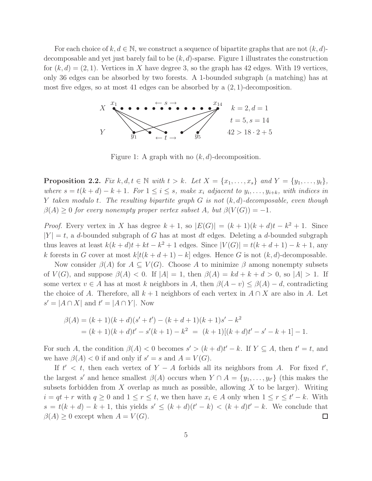For each choice of k,  $d \in \mathbb{N}$ , we construct a sequence of bipartite graphs that are not  $(k, d)$ decomposable and yet just barely fail to be  $(k, d)$ -sparse. Figure 1 illustrates the construction for  $(k, d) = (2, 1)$ . Vertices in X have degree 3, so the graph has 42 edges. With 19 vertices, only 36 edges can be absorbed by two forests. A 1-bounded subgraph (a matching) has at most five edges, so at most 41 edges can be absorbed by a  $(2, 1)$ -decomposition.



Figure 1: A graph with no  $(k, d)$ -decomposition.

**Proposition 2.2.** *Fix*  $k, d, t \in \mathbb{N}$  *with*  $t > k$ *. Let*  $X = \{x_1, ..., x_s\}$  *and*  $Y = \{y_1, ..., y_t\}$ *, where*  $s = t(k + d) - k + 1$ . For  $1 \leq i \leq s$ , make  $x_i$  adjacent to  $y_i, \ldots, y_{i+k}$ , with indices in Y *taken modulo* t*. The resulting bipartite graph* G *is not* (k, d)*-decomposable, even though*  $\beta(A) \geq 0$  *for every nonempty proper vertex subset* A, but  $\beta(V(G)) = -1$ .

*Proof.* Every vertex in X has degree  $k + 1$ , so  $|E(G)| = (k + 1)(k + d)t - k^2 + 1$ . Since  $|Y| = t$ , a d-bounded subgraph of G has at most dt edges. Deleting a d-bounded subgraph thus leaves at least  $k(k + d)t + kt - k^2 + 1$  edges. Since  $|V(G)| = t(k + d + 1) - k + 1$ , any k forests in G cover at most  $k[t(k + d + 1) - k]$  edges. Hence G is not  $(k, d)$ -decomposable.

Now consider  $\beta(A)$  for  $A \subseteq V(G)$ . Choose A to minimize  $\beta$  among nonempty subsets of  $V(G)$ , and suppose  $\beta(A) < 0$ . If  $|A| = 1$ , then  $\beta(A) = kd + k + d > 0$ , so  $|A| > 1$ . If some vertex  $v \in A$  has at most k neighbors in A, then  $\beta(A - v) \leq \beta(A) - d$ , contradicting the choice of A. Therefore, all  $k + 1$  neighbors of each vertex in  $A \cap X$  are also in A. Let  $s' = |A \cap X|$  and  $t' = |A \cap Y|$ . Now

$$
\beta(A) = (k+1)(k+d)(s'+t') - (k+d+1)(k+1)s' - k^2
$$
  
= (k+1)(k+d)t' - s'(k+1) - k<sup>2</sup> = (k+1)[(k+d)t' - s' - k + 1] - 1.

For such A, the condition  $\beta(A) < 0$  becomes  $s' > (k + d)t' - k$ . If  $Y \subseteq A$ , then  $t' = t$ , and we have  $\beta(A) < 0$  if and only if  $s' = s$  and  $A = V(G)$ .

If  $t' < t$ , then each vertex of  $Y - A$  forbids all its neighbors from A. For fixed  $t'$ , the largest s' and hence smallest  $\beta(A)$  occurs when  $Y \cap A = \{y_1, \ldots, y_{t'}\}$  (this makes the subsets forbidden from  $X$  overlap as much as possible, allowing  $X$  to be larger). Writing  $i = qt + r$  with  $q \geq 0$  and  $1 \leq r \leq t$ , we then have  $x_i \in A$  only when  $1 \leq r \leq t' - k$ . With  $s = t(k + d) - k + 1$ , this yields  $s' \leq (k + d)(t' - k) < (k + d)t' - k$ . We conclude that  $\beta(A) \geq 0$  except when  $A = V(G)$ .  $\Box$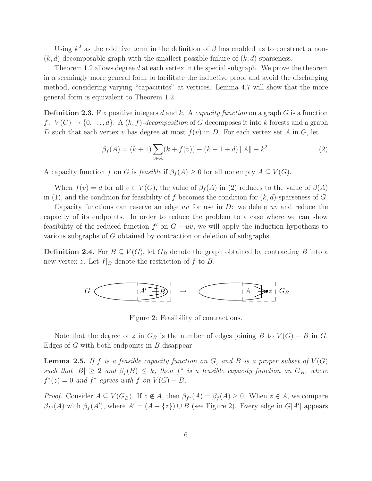Using  $k^2$  as the additive term in the definition of  $\beta$  has enabled us to construct a non- $(k, d)$ -decomposable graph with the smallest possible failure of  $(k, d)$ -sparseness.

Theorem 1.2 allows degree d at each vertex in the special subgraph. We prove the theorem in a seemingly more general form to facilitate the inductive proof and avoid the discharging method, considering varying "capacitites" at vertices. Lemma 4.7 will show that the more general form is equivalent to Theorem 1.2.

Definition 2.3. Fix positive integers d and k. A *capacity function* on a graph G is a function  $f: V(G) \to \{0, \ldots, d\}$ . A  $(k, f)$ -decomposition of G decomposes it into k forests and a graph D such that each vertex v has degree at most  $f(v)$  in D. For each vertex set A in G, let

$$
\beta_f(A) = (k+1) \sum_{v \in A} (k + f(v)) - (k+1+d) ||A|| - k^2.
$$
 (2)

A capacity function f on G is feasible if  $\beta_f(A) \geq 0$  for all nonempty  $A \subseteq V(G)$ .

When  $f(v) = d$  for all  $v \in V(G)$ , the value of  $\beta_f(A)$  in (2) reduces to the value of  $\beta(A)$ in (1), and the condition for feasibility of f becomes the condition for  $(k, d)$ -sparseness of G.

Capacity functions can reserve an edge uv for use in  $D$ : we delete uv and reduce the capacity of its endpoints. In order to reduce the problem to a case where we can show feasibility of the reduced function  $f'$  on  $G - uv$ , we will apply the induction hypothesis to various subgraphs of G obtained by contraction or deletion of subgraphs.

**Definition 2.4.** For  $B \subseteq V(G)$ , let  $G_B$  denote the graph obtained by contracting B into a new vertex z. Let  $f|_B$  denote the restriction of f to B.



Figure 2: Feasibility of contractions.

Note that the degree of z in  $G_B$  is the number of edges joining B to  $V(G) - B$  in G. Edges of G with both endpoints in B disappear.

**Lemma 2.5.** If f is a feasible capacity function on  $G$ , and  $B$  is a proper subset of  $V(G)$  $such that |B| \geq 2 and \beta_f(B) \leq k$ , then  $f^*$  is a feasible capacity function on  $G_B$ , where  $f^*(z) = 0$  *and*  $f^*$  *agrees with*  $f$  *on*  $V(G) - B$ *.* 

*Proof.* Consider  $A \subseteq V(G_B)$ . If  $z \notin A$ , then  $\beta_{f^*}(A) = \beta_f(A) \geq 0$ . When  $z \in A$ , we compare  $\beta_{f^*}(A)$  with  $\beta_f(A')$ , where  $A' = (A - \{z\}) \cup B$  (see Figure 2). Every edge in  $G[A']$  appears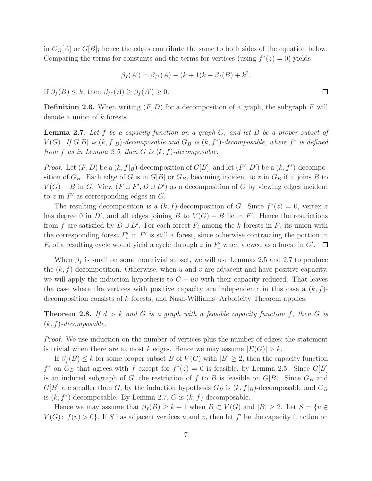in  $G_B[A]$  or  $G[B]$ ; hence the edges contribute the same to both sides of the equation below. Comparing the terms for constants and the terms for vertices (using  $f^*(z) = 0$ ) yields

$$
\beta_f(A') = \beta_{f^*}(A) - (k+1)k + \beta_f(B) + k^2.
$$

If  $\beta_f(B) \leq k$ , then  $\beta_{f^*}(A) \geq \beta_f(A') \geq 0$ .

**Definition 2.6.** When writing  $(F, D)$  for a decomposition of a graph, the subgraph F will denote a union of k forests.

Lemma 2.7. *Let* f *be a capacity function on a graph* G*, and let* B *be a proper subset of*  $V(G)$ *. If*  $G[B]$  *is*  $(k, f|_B)$ *-decomposable and*  $G_B$  *is*  $(k, f^*)$ *-decomposable, where*  $f^*$  *is defined from* f *as in Lemma 2.5, then* G *is* (k, f)*-decomposable.*

*Proof.* Let  $(F, D)$  be a  $(k, f|_B)$ -decomposition of  $G[B]$ , and let  $(F', D')$  be a  $(k, f^*)$ -decomposition of  $G_B$ . Each edge of G is in  $G[B]$  or  $G_B$ , becoming incident to z in  $G_B$  if it joins B to  $V(G) - B$  in G. View  $(F \cup F', D \cup D')$  as a decomposition of G by viewing edges incident to z in  $F'$  as corresponding edges in  $G$ .

The resulting decomposition is a  $(k, f)$ -decomposition of G. Since  $f^*(z) = 0$ , vertex z has degree 0 in D', and all edges joining B to  $V(G) - B$  lie in F'. Hence the restrictions from f are satisfied by  $D \cup D'$ . For each forest  $F_i$  among the k forests in F, its union with the corresponding forest  $F_i'$  in  $F'$  is still a forest, since otherwise contracting the portion in  $F_i$  of a resulting cycle would yield a cycle through z in  $F'_i$  when viewed as a forest in  $G'$ .

When  $\beta_f$  is small on some nontrivial subset, we will use Lemmas 2.5 and 2.7 to produce the  $(k, f)$ -decomposition. Otherwise, when u and v are adjacent and have positive capacity, we will apply the induction hypothesis to  $G - uv$  with their capacity reduced. That leaves the case where the vertices with positive capacity are independent; in this case a  $(k, f)$ decomposition consists of k forests, and Nash-Williams' Arboricity Theorem applies.

**Theorem 2.8.** If  $d > k$  and G is a graph with a feasible capacity function f, then G is (k, f)*-decomposable.*

*Proof.* We use induction on the number of vertices plus the number of edges; the statement is trivial when there are at most k edges. Hence we may assume  $|E(G)| > k$ .

If  $\beta_f(B) \leq k$  for some proper subset B of  $V(G)$  with  $|B| \geq 2$ , then the capacity function  $f^*$  on  $G_B$  that agrees with f except for  $f^*(z) = 0$  is feasible, by Lemma 2.5. Since  $G[B]$ is an induced subgraph of G, the restriction of f to B is feasible on  $G[B]$ . Since  $G_B$  and  $G[B]$  are smaller than G, by the induction hypothesis  $G_B$  is  $(k, f|_B)$ -decomposable and  $G_B$ is  $(k, f^*)$ -decomposable. By Lemma 2.7, G is  $(k, f)$ -decomposable.

Hence we may assume that  $\beta_f(B) \geq k+1$  when  $B \subset V(G)$  and  $|B| \geq 2$ . Let  $S = \{v \in V(G) | \text{and } |F| \geq 2\}$  $V(G)$ :  $f(v) > 0$ . If S has adjacent vertices u and v, then let f' be the capacity function on

 $\Box$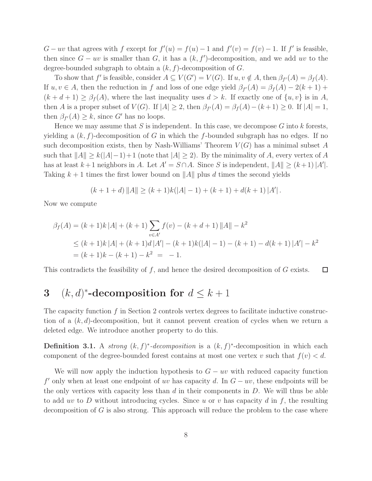$G - uv$  that agrees with f except for  $f'(u) = f(u) - 1$  and  $f'(v) = f(v) - 1$ . If f' is feasible, then since  $G - uv$  is smaller than G, it has a  $(k, f')$ -decomposition, and we add uv to the degree-bounded subgraph to obtain a  $(k, f)$ -decomposition of G.

To show that f' is feasible, consider  $A \subseteq V(G') = V(G)$ . If  $u, v \notin A$ , then  $\beta_{f'}(A) = \beta_f(A)$ . If  $u, v \in A$ , then the reduction in f and loss of one edge yield  $\beta_{f'}(A) = \beta_f(A) - 2(k+1) +$  $(k + d + 1) \geq \beta_f(A)$ , where the last inequality uses  $d > k$ . If exactly one of  $\{u, v\}$  is in A, then A is a proper subset of  $V(G)$ . If  $|A| \geq 2$ , then  $\beta_{f'}(A) = \beta_f(A) - (k+1) \geq 0$ . If  $|A| = 1$ , then  $\beta_{f'}(A) \geq k$ , since G' has no loops.

Hence we may assume that S is independent. In this case, we decompose  $G$  into k forests, yielding a  $(k, f)$ -decomposition of G in which the f-bounded subgraph has no edges. If no such decomposition exists, then by Nash-Williams' Theorem  $V(G)$  has a minimal subset A such that  $||A|| \ge k(|A|-1)+1$  (note that  $|A| \ge 2$ ). By the minimality of A, every vertex of A has at least  $k+1$  neighbors in A. Let  $A' = S \cap A$ . Since S is independent,  $||A|| \ge (k+1) |A'|$ . Taking  $k+1$  times the first lower bound on ||A|| plus d times the second yields

$$
(k+1+d) \|A\| \ge (k+1)k(|A|-1) + (k+1) + d(k+1) |A'|.
$$

Now we compute

$$
\beta_f(A) = (k+1)k |A| + (k+1) \sum_{v \in A'} f(v) - (k+d+1) ||A|| - k^2
$$
  
\n
$$
\le (k+1)k |A| + (k+1)d|A'| - (k+1)k(|A|-1) - (k+1) - d(k+1) |A'| - k^2
$$
  
\n
$$
= (k+1)k - (k+1) - k^2 = -1.
$$

 $\Box$ This contradicts the feasibility of  $f$ , and hence the desired decomposition of  $G$  exists.

## 3  $(k, d)^*$ -decomposition for  $d \leq k+1$

The capacity function f in Section 2 controls vertex degrees to facilitate inductive construction of a  $(k, d)$ -decomposition, but it cannot prevent creation of cycles when we return a deleted edge. We introduce another property to do this.

**Definition 3.1.** A *strong*  $(k, f)^*$ -decomposition is a  $(k, f)^*$ -decomposition in which each component of the degree-bounded forest contains at most one vertex v such that  $f(v) < d$ .

We will now apply the induction hypothesis to  $G - uv$  with reduced capacity function  $f'$  only when at least one endpoint of uv has capacity d. In  $G - uv$ , these endpoints will be the only vertices with capacity less than  $d$  in their components in  $D$ . We will thus be able to add uv to D without introducing cycles. Since u or v has capacity d in  $f$ , the resulting decomposition of  $G$  is also strong. This approach will reduce the problem to the case where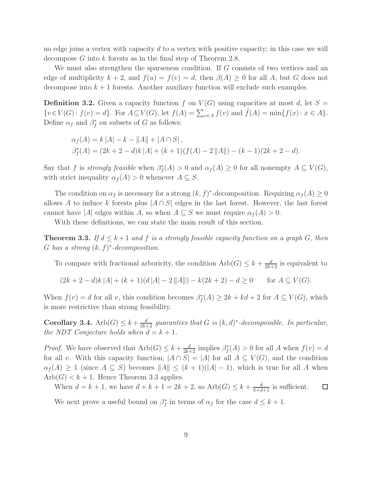no edge joins a vertex with capacity  $d$  to a vertex with positive capacity; in this case we will decompose G into k forests as in the final step of Theorem 2.8.

We must also strengthen the sparseness condition. If G consists of two vertices and an edge of multiplicity  $k + 2$ , and  $f(u) = f(v) = d$ , then  $\beta(A) \geq 0$  for all A, but G does not decompose into  $k+1$  forests. Another auxiliary function will exclude such examples.

**Definition 3.2.** Given a capacity function f on  $V(G)$  using capacities at most d, let  $S =$  $\{v \in V(G): f(v) = d\}$ . For  $A \subseteq V(G)$ , let  $f(A) = \sum_{v \in A} f(v)$  and  $\hat{f}(A) = \min\{f(x): x \in A\}$ . Define  $\alpha_f$  and  $\beta_f^*$  on subsets of G as follows:

$$
\alpha_f(A) = k |A| - k - ||A|| + |A \cap S|,
$$
  
\n
$$
\beta_f^*(A) = (2k + 2 - d)k |A| + (k + 1)(f(A) - 2 ||A||) - (k - 1)(2k + 2 - d).
$$

Say that f is *strongly feasible* when  $\beta_f^*(A) > 0$  and  $\alpha_f(A) \geq 0$  for all nonempty  $A \subseteq V(G)$ , with strict inequality  $\alpha_f(A) > 0$  whenever  $A \subseteq S$ .

The condition on  $\alpha_f$  is necessary for a strong  $(k, f)^*$ -decomposition. Requiring  $\alpha_f(A) \geq 0$ allows A to induce k forests plus  $|A \cap S|$  edges in the last forest. However, the last forest cannot have |A| edges within A, so when  $A \subseteq S$  we must require  $\alpha_f(A) > 0$ .

With these definitions, we can state the main result of this section.

**Theorem 3.3.** If  $d \leq k+1$  and f is a strongly feasible capacity function on a graph G, then G has a strong  $(k, f)^*$ -decomposition.

To compare with fractional arboricity, the condition  $Arb(G) \leq k + \frac{d}{2k+2}$  is equivalent to

$$
(2k+2-d)k |A| + (k+1)(d|A| - 2 ||A||) - k(2k+2) - d \ge 0 \quad \text{for } A \subseteq V(G).
$$

When  $f(v) = d$  for all v, this condition becomes  $\beta_f^*(A) \geq 2k + kd + 2$  for  $A \subseteq V(G)$ , which is more restrictive than strong feasibility.

**Corollary 3.4.** Arb $(G) \leq k + \frac{d}{2k+2}$  guarantees that G is  $(k, d)^*$ -decomposable. In particular, *the NDT Conjecture holds when*  $d = k + 1$ *.* 

*Proof.* We have observed that  $Arb(G) \leq k + \frac{d}{2k+2}$  implies  $\beta_f^*(A) > 0$  for all A when  $f(v) = d$ for all v. With this capacity function,  $|A \cap S| = |A|$  for all  $A \subseteq V(G)$ , and the condition  $\alpha_f(A) \geq 1$  (since  $A \subseteq S$ ) becomes  $||A|| \leq (k+1)(|A|-1)$ , which is true for all A when  $Arb(G) < k+1$ . Hence Theorem 3.3 applies.

When  $d = k + 1$ , we have  $d + k + 1 = 2k + 2$ , so  $Arb(G) \leq k + \frac{d}{k + d + 1}$  is sufficient.  $\Box$ 

We next prove a useful bound on  $\beta_f^*$  in terms of  $\alpha_f$  for the case  $d \leq k+1$ .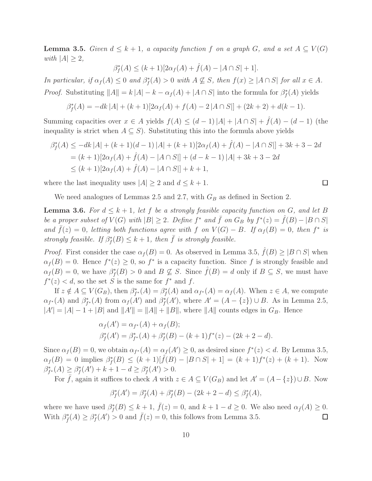**Lemma 3.5.** *Given*  $d \leq k + 1$ , a capacity function f on a graph G, and a set  $A \subseteq V(G)$ *with*  $|A| \geq 2$ *,* 

$$
\beta_f^*(A) \le (k+1)[2\alpha_f(A) + \hat{f}(A) - |A \cap S| + 1].
$$

*In particular, if*  $\alpha_f(A) \leq 0$  *and*  $\beta_f^*(A) > 0$  *with*  $A \not\subseteq S$ *, then*  $f(x) \geq |A \cap S|$  *for all*  $x \in A$ *. Proof.* Substituting  $||A|| = k |A| - k - \alpha_f(A) + |A \cap S|$  into the formula for  $\beta_f^*(A)$  yields

$$
\beta_f^*(A) = -dk |A| + (k+1)[2\alpha_f(A) + f(A) - 2|A \cap S|] + (2k+2) + d(k-1).
$$

Summing capacities over  $x \in A$  yields  $f(A) \leq (d-1)|A| + |A \cap S| + \hat{f}(A) - (d-1)$  (the inequality is strict when  $A \subseteq S$ ). Substituting this into the formula above yields

$$
\beta_f^*(A) \le -dk |A| + (k+1)(d-1) |A| + (k+1)[2\alpha_f(A) + \hat{f}(A) - |A \cap S|] + 3k + 3 - 2d
$$
  
= (k+1)[2\alpha\_f(A) + \hat{f}(A) - |A \cap S|] + (d - k - 1) |A| + 3k + 3 - 2d  

$$
\le (k+1)[2\alpha_f(A) + \hat{f}(A) - |A \cap S|] + k + 1,
$$

where the last inequality uses  $|A| \geq 2$  and  $d \leq k+1$ .

We need analogues of Lemmas 2.5 and 2.7, with  $G_B$  as defined in Section 2.

**Lemma 3.6.** For  $d \leq k+1$ , let f be a strongly feasible capacity function on G, and let B *be a proper subset of*  $V(G)$  *with*  $|B| \geq 2$ *. Define*  $f^*$  *and*  $\bar{f}$  *on*  $G_B$  *by*  $f^*(z) = \hat{f}(B) - |B \cap S|$ *and*  $\bar{f}(z) = 0$ , letting both functions agree with f on  $V(G) - B$ . If  $\alpha_f(B) = 0$ , then  $f^*$  is *strongly feasible. If*  $\beta_f^*(B) \leq k+1$ *, then*  $\overline{f}$  *is strongly feasible.* 

*Proof.* First consider the case  $\alpha_f(B) = 0$ . As observed in Lemma 3.5,  $\hat{f}(B) \geq |B \cap S|$  when  $\alpha_f(B) = 0$ . Hence  $f^*(z) \geq 0$ , so  $f^*$  is a capacity function. Since f is strongly feasible and  $\alpha_f(B) = 0$ , we have  $\beta_f^*(B) > 0$  and  $B \nsubseteq S$ . Since  $\hat{f}(B) = d$  only if  $B \subseteq S$ , we must have  $f^*(z) < d$ , so the set S is the same for  $f^*$  and f.

If  $z \notin A \subseteq V(G_B)$ , then  $\beta_{f^*}^*(A) = \beta_f^*(A)$  and  $\alpha_{f^*}(A) = \alpha_f(A)$ . When  $z \in A$ , we compute  $\alpha_{f^*}(A)$  and  $\beta_{f^*}^*(A)$  from  $\alpha_f(A')$  and  $\beta_f^*(A')$ , where  $A' = (A - \{z\}) \cup B$ . As in Lemma 2.5,  $|A'| = |A| - 1 + |B|$  and  $||A'|| = ||A|| + ||B||$ , where  $||A||$  counts edges in  $G_B$ . Hence

$$
\alpha_f(A') = \alpha_{f^*}(A) + \alpha_f(B);
$$
  
\n
$$
\beta_f^*(A') = \beta_{f^*}^*(A) + \beta_f^*(B) - (k+1)f^*(z) - (2k+2-d).
$$

Since  $\alpha_f(B) = 0$ , we obtain  $\alpha_{f^*}(A) = \alpha_f(A') \geq 0$ , as desired since  $f^*(z) < d$ . By Lemma 3.5,  $\alpha_f(B) = 0$  implies  $\beta_f^*(B) \le (k+1)[\hat{f}(B) - |B \cap S| + 1] = (k+1)f^*(z) + (k+1)$ . Now  $\beta_{f^*}^*(A) \geq \beta_f^*(A') + k + 1 - d \geq \beta_f^*(A') > 0.$ 

For  $\bar{f}$ , again it suffices to check A with  $z \in A \subseteq V(G_B)$  and let  $A' = (A - \{z\}) \cup B$ . Now

$$
\beta_f^*(A') = \beta_f^*(A) + \beta_f^*(B) - (2k + 2 - d) \le \beta_f^*(A),
$$

where we have used  $\beta_f^*(B) \leq k+1$ ,  $\bar{f}(z) = 0$ , and  $k+1-d \geq 0$ . We also need  $\alpha_{\bar{f}}(A) \geq 0$ . With  $\beta_{\bar{f}}^*(A) \geq \beta_f^*(A') > 0$  and  $\bar{f}(z) = 0$ , this follows from Lemma 3.5. □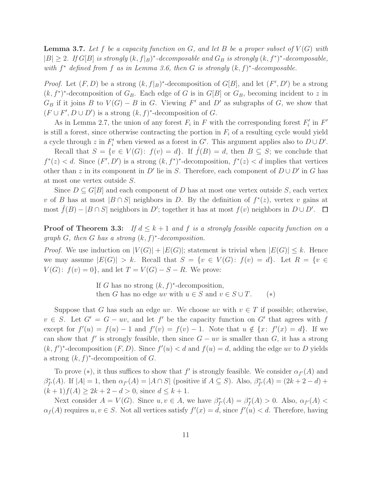**Lemma 3.7.** Let f be a capacity function on  $G$ , and let  $B$  be a proper subset of  $V(G)$  with  $|B| \geq 2$ . If  $G[B]$  *is strongly*  $(k, f|_B)^*$ -decomposable and  $G_B$  *is strongly*  $(k, f^*)^*$ -decomposable, *with* f <sup>∗</sup> *defined from* f *as in Lemma 3.6, then* G *is strongly* (k, f) ∗ *-decomposable.*

*Proof.* Let  $(F, D)$  be a strong  $(k, f|_B)^*$ -decomposition of  $G[B]$ , and let  $(F', D')$  be a strong  $(k, f^*)^*$ -decomposition of  $G_B$ . Each edge of G is in  $G[B]$  or  $G_B$ , becoming incident to z in  $G_B$  if it joins B to  $V(G) - B$  in G. Viewing F' and D' as subgraphs of G, we show that  $(F \cup F', D \cup D')$  is a strong  $(k, f)^*$ -decomposition of G.

As in Lemma 2.7, the union of any forest  $F_i$  in F with the corresponding forest  $F'_i$  in  $F'$ is still a forest, since otherwise contracting the portion in  $F_i$  of a resulting cycle would yield a cycle through z in  $F'_i$  when viewed as a forest in G'. This argument applies also to  $D \cup D'$ .

Recall that  $S = \{v \in V(G): f(v) = d\}$ . If  $\hat{f}(B) = d$ , then  $B \subseteq S$ ; we conclude that  $f^*(z) < d$ . Since  $(F', D')$  is a strong  $(k, f^*)^*$ -decomposition,  $f^*(z) < d$  implies that vertices other than z in its component in D' lie in S. Therefore, each component of  $D \cup D'$  in G has at most one vertex outside S.

Since  $D \subseteq G[B]$  and each component of D has at most one vertex outside S, each vertex v of B has at most  $|B \cap S|$  neighbors in D. By the definition of  $f^*(z)$ , vertex v gains at most  $\hat{f}(B) - |B \cap S|$  neighbors in D'; together it has at most  $f(v)$  neighbors in  $D \cup D'$ .

Proof of Theorem 3.3: *If* d ≤ k + 1 *and* f *is a strongly feasible capacity function on a graph* G*, then* G *has a strong* (k, f) ∗ *-decomposition.*

*Proof.* We use induction on  $|V(G)| + |E(G)|$ ; statement is trivial when  $|E(G)| \leq k$ . Hence we may assume  $|E(G)| > k$ . Recall that  $S = \{v \in V(G): f(v) = d\}$ . Let  $R = \{v \in V(G): f(v) = d\}$ .  $V(G)$ :  $f(v) = 0$ , and let  $T = V(G) - S - R$ . We prove:

> If G has no strong  $(k, f)^*$ -decomposition, then G has no edge uv with  $u \in S$  and  $v \in S \cup T$ . (\*)

Suppose that G has such an edge uv. We choose uv with  $v \in T$  if possible; otherwise,  $v \in S$ . Let  $G' = G - uv$ , and let f' be the capacity function on G' that agrees with f except for  $f'(u) = f(u) - 1$  and  $f'(v) = f(v) - 1$ . Note that  $u \notin \{x : f'(x) = d\}$ . If we can show that  $f'$  is strongly feasible, then since  $G - uv$  is smaller than  $G$ , it has a strong  $(k, f')^*$ -decomposition  $(F, D)$ . Since  $f'(u) < d$  and  $f(u) = d$ , adding the edge uv to D yields a strong  $(k, f)^*$ -decomposition of G.

To prove (\*), it thus suffices to show that  $f'$  is strongly feasible. We consider  $\alpha_{f'}(A)$  and  $\beta_{f'}^*(A)$ . If  $|A| = 1$ , then  $\alpha_{f'}(A) = |A \cap S|$  (positive if  $A \subseteq S$ ). Also,  $\beta_{f'}^*(A) = (2k + 2 - d) +$  $(k+1)f(A) \geq 2k+2-d > 0$ , since  $d \leq k+1$ .

Next consider  $A = V(G)$ . Since  $u, v \in A$ , we have  $\beta_{f'}^*(A) = \beta_f^*(A) > 0$ . Also,  $\alpha_{f'}(A) <$  $\alpha_f(A)$  requires  $u, v \in S$ . Not all vertices satisfy  $f'(x) = d$ , since  $f'(u) < d$ . Therefore, having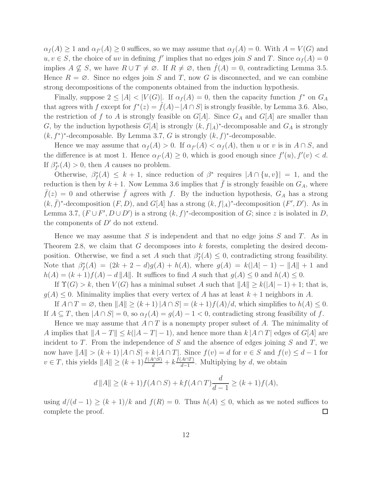$\alpha_f(A) \geq 1$  and  $\alpha_{f'}(A) \geq 0$  suffices, so we may assume that  $\alpha_f(A) = 0$ . With  $A = V(G)$  and  $u, v \in S$ , the choice of uv in defining f' implies that no edges join S and T. Since  $\alpha_f(A) = 0$ implies  $A \nsubseteq S$ , we have  $R \cup T \neq \emptyset$ . If  $R \neq \emptyset$ , then  $f(A) = 0$ , contradicting Lemma 3.5. Hence  $R = \emptyset$ . Since no edges join S and T, now G is disconnected, and we can combine strong decompositions of the components obtained from the induction hypothesis.

Finally, suppose  $2 \leq |A| < |V(G)|$ . If  $\alpha_f(A) = 0$ , then the capacity function  $f^*$  on  $G_A$ that agrees with f except for  $f^*(z) = \hat{f}(A) - |A \cap S|$  is strongly feasible, by Lemma 3.6. Also, the restriction of f to A is strongly feasible on  $G[A]$ . Since  $G_A$  and  $G[A]$  are smaller than G, by the induction hypothesis  $G[A]$  is strongly  $(k, f|_A)^*$ -decomposable and  $G_A$  is strongly  $(k, f^*)^*$ -decomposable. By Lemma 3.7, G is strongly  $(k, f)^*$ -decomposable.

Hence we may assume that  $\alpha_f(A) > 0$ . If  $\alpha_{f'}(A) < \alpha_f(A)$ , then u or v is in  $A \cap S$ , and the difference is at most 1. Hence  $\alpha_{f'}(A) \geq 0$ , which is good enough since  $f'(u)$ ,  $f'(v) < d$ . If  $\beta_{f'}^*(A) > 0$ , then A causes no problem.

Otherwise,  $\beta_f^*(A) \leq k+1$ , since reduction of  $\beta^*$  requires  $|A \cap \{u, v\}| = 1$ , and the reduction is then by  $k + 1$ . Now Lemma 3.6 implies that  $\bar{f}$  is strongly feasible on  $G_A$ , where  $\bar{f}(z) = 0$  and otherwise  $\bar{f}$  agrees with f. By the induction hypothesis,  $G_A$  has a strong  $(k, \bar{f})^*$ -decomposition  $(F, D)$ , and  $G[A]$  has a strong  $(k, f|_A)^*$ -decomposition  $(F', D')$ . As in Lemma 3.7,  $(F \cup F', D \cup D')$  is a strong  $(k, f)^*$ -decomposition of G; since z is isolated in D, the components of  $D'$  do not extend.

Hence we may assume that S is independent and that no edge joins  $S$  and  $T$ . As in Theorem 2.8, we claim that G decomposes into k forests, completing the desired decomposition. Otherwise, we find a set A such that  $\beta_f^*(A) \leq 0$ , contradicting strong feasibility. Note that  $\beta_f^*(A) = (2k + 2 - d)g(A) + h(A)$ , where  $g(A) = k(|A| - 1) - ||A|| + 1$  and  $h(A) = (k+1)f(A) - d||A||.$  It suffices to find A such that  $g(A) \leq 0$  and  $h(A) \leq 0$ .

If  $\Upsilon(G) > k$ , then  $V(G)$  has a minimal subset A such that  $||A|| \ge k(|A| - 1) + 1$ ; that is,  $g(A) \leq 0$ . Minimality implies that every vertex of A has at least  $k+1$  neighbors in A.

If  $A \cap T = \emptyset$ , then  $||A|| \ge (k+1)|A \cap S| = (k+1)f(A)/d$ , which simplifies to  $h(A) \le 0$ . If  $A \subseteq T$ , then  $|A \cap S| = 0$ , so  $\alpha_f(A) = g(A) - 1 < 0$ , contradicting strong feasibility of f.

Hence we may assume that  $A \cap T$  is a nonempty proper subset of A. The minimality of A implies that  $||A - T|| \le k(|A - T| - 1)$ , and hence more than  $k |A \cap T|$  edges of  $G[A]$  are incident to  $T$ . From the independence of  $S$  and the absence of edges joining  $S$  and  $T$ , we now have  $||A|| > (k+1)|A \cap S| + k |A \cap T|$ . Since  $f(v) = d$  for  $v \in S$  and  $f(v) \leq d-1$  for  $v \in T$ , this yields  $||A|| \ge (k+1) \frac{f(A \cap S)}{d} + k \frac{f(A \cap T)}{d-1}$  $\frac{A||I|}{d-1}$ . Multiplying by d, we obtain

$$
d ||A|| \ge (k+1)f(A \cap S) + kf(A \cap T)\frac{d}{d-1} \ge (k+1)f(A),
$$

using  $d/(d-1) \ge (k+1)/k$  and  $f(R) = 0$ . Thus  $h(A) \le 0$ , which as we noted suffices to complete the proof.  $\Box$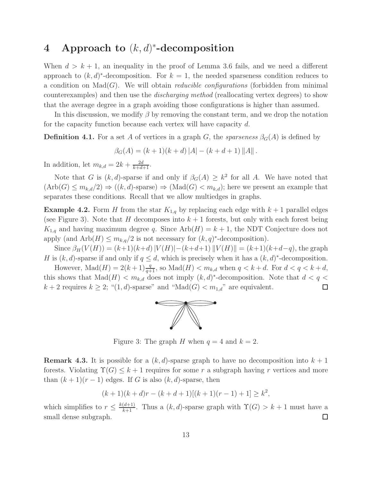## 4 Approach to  $(k, d)^*$ -decomposition

When  $d > k + 1$ , an inequality in the proof of Lemma 3.6 fails, and we need a different approach to  $(k, d)^*$ -decomposition. For  $k = 1$ , the needed sparseness condition reduces to a condition on  $\text{Mad}(G)$ . We will obtain *reducible configurations* (forbidden from minimal counterexamples) and then use the *discharging method* (reallocating vertex degrees) to show that the average degree in a graph avoiding those configurations is higher than assumed.

In this discussion, we modify  $\beta$  by removing the constant term, and we drop the notation for the capacity function because each vertex will have capacity d.

**Definition 4.1.** For a set A of vertices in a graph G, the *sparseness*  $\beta_G(A)$  is defined by

$$
\beta_G(A) = (k+1)(k+d) |A| - (k+d+1) ||A||.
$$

In addition, let  $m_{k,d} = 2k + \frac{2d}{k+d+1}$ .

Note that G is  $(k, d)$ -sparse if and only if  $\beta_G(A) \geq k^2$  for all A. We have noted that  $(\text{Arb}(G) \leq m_{k,d}/2) \Rightarrow ((k,d)$ -sparse)  $\Rightarrow (\text{Mad}(G) < m_{k,d})$ ; here we present an example that separates these conditions. Recall that we allow multiedges in graphs.

**Example 4.2.** Form H from the star  $K_{1,q}$  by replacing each edge with  $k + 1$  parallel edges (see Figure 3). Note that H decomposes into  $k+1$  forests, but only with each forest being  $K_{1,q}$  and having maximum degree q. Since  $Arb(H) = k + 1$ , the NDT Conjecture does not apply (and  $Arb(H) \leq m_{k,q}/2$  is not necessary for  $(k,q)^*$ -decomposition).

Since  $\beta_H(V(H)) = (k+1)(k+d) |V(H)|-(k+d+1) |V(H)| = (k+1)(k+d-q)$ , the graph H is  $(k, d)$ -sparse if and only if  $q \leq d$ , which is precisely when it has a  $(k, d)^*$ -decomposition.

However,  $\text{Mad}(H) = 2(k+1)\frac{q}{q+1}$ , so  $\text{Mad}(H) < m_{k,d}$  when  $q < k+d$ . For  $d < q < k+d$ , this shows that  $\text{Mad}(H) < m_{k,d}$  does not imply  $(k,d)^*$ -decomposition. Note that  $d < q <$  $k + 2$  requires  $k \geq 2$ ; " $(1, d)$ -sparse" and "Mad $(G) < m_{1,d}$ " are equivalent.  $\Box$ 



Figure 3: The graph H when  $q = 4$  and  $k = 2$ .

**Remark 4.3.** It is possible for a  $(k, d)$ -sparse graph to have no decomposition into  $k + 1$ forests. Violating  $\Upsilon(G) \leq k+1$  requires for some r a subgraph having r vertices and more than  $(k + 1)(r - 1)$  edges. If G is also  $(k, d)$ -sparse, then

$$
(k+1)(k+d)r - (k+d+1)[(k+1)(r-1)+1] \geq k^2,
$$

which simplifies to  $r \leq \frac{k(d+1)}{k+1}$ . Thus a  $(k, d)$ -sparse graph with  $\Upsilon(G) > k+1$  must have a small dense subgraph. □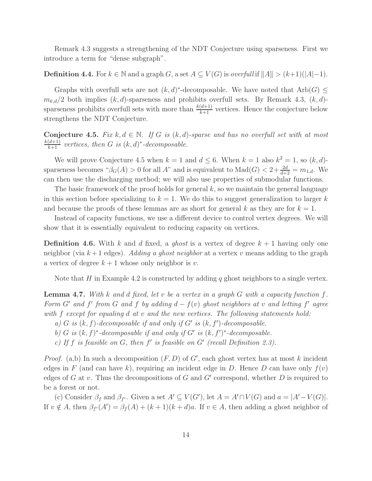Remark 4.3 suggests a strengthening of the NDT Conjecture using sparseness. First we introduce a term for "dense subgraph".

#### **Definition 4.4.** For  $k \in \mathbb{N}$  and a graph G, a set  $A \subseteq V(G)$  is *overfull* if  $||A|| > (k+1)(|A|-1)$ .

Graphs with overfull sets are not  $(k, d)^*$ -decomposable. We have noted that  $Arb(G) \leq$  $m_{k,d}/2$  both implies  $(k, d)$ -sparseness and prohibits overfull sets. By Remark 4.3,  $(k, d)$ sparseness prohibits overfull sets with more than  $\frac{k(d+1)}{k+1}$  vertices. Hence the conjecture below strengthens the NDT Conjecture.

**Conjecture 4.5.** Fix  $k, d \in \mathbb{N}$ . If G is  $(k, d)$ -sparse and has no overfull set with at most  $\frac{k(d+1)}{k+1}$  vertices, then *G* is  $(k, d)^*$ -decomposable.

We will prove Conjecture 4.5 when  $k = 1$  and  $d \leq 6$ . When  $k = 1$  also  $k^2 = 1$ , so  $(k, d)$ sparseness becomes " $\beta_G(A) > 0$  for all A" and is equivalent to  $\text{Mad}(G) < 2 + \frac{2d}{d+2} = m_{1,d}$ . We can then use the discharging method; we will also use properties of submodular functions.

The basic framework of the proof holds for general  $k$ , so we maintain the general language in this section before specializing to  $k = 1$ . We do this to suggest generalization to larger k and because the proofs of these lemmas are as short for general k as they are for  $k = 1$ .

Instead of capacity functions, we use a different device to control vertex degrees. We will show that it is essentially equivalent to reducing capacity on vertices.

**Definition 4.6.** With k and d fixed, a ghost is a vertex of degree  $k + 1$  having only one neighbor (via  $k+1$  edges). *Adding a ghost neighbor* at a vertex v means adding to the graph a vertex of degree  $k + 1$  whose only neighbor is v.

Note that H in Example 4.2 is constructed by adding q ghost neighbors to a single vertex.

Lemma 4.7. *With* k *and* d *fixed, let* v *be a vertex in a graph* G *with a capacity function* f*. Form*  $G'$  *and*  $f'$  *from*  $G$  *and*  $f$  *by adding*  $d - f(v)$  *ghost neighbors at* v *and letting*  $f'$  *agree with* f *except for equaling* d *at* v *and the new vertices. The following statements hold:*

- *a)*  $G$  *is*  $(k, f)$ -decomposable if and only if  $G'$  is  $(k, f')$ -decomposable.
- *b*) *G is*  $(k, f)^*$ -decomposable if and only if *G' is*  $(k, f')^*$ -decomposable.
- *c) If* f *is feasible on* G*, then* f ′ *is feasible on* G′ *(recall Definition 2.3).*

*Proof.* (a,b) In such a decomposition  $(F, D)$  of  $G'$ , each ghost vertex has at most k incident edges in F (and can have k), requiring an incident edge in D. Hence D can have only  $f(v)$ edges of  $G$  at  $v$ . Thus the decompositions of  $G$  and  $G'$  correspond, whether  $D$  is required to be a forest or not.

(c) Consider  $\beta_f$  and  $\beta_{f'}$ . Given a set  $A' \subseteq V(G')$ , let  $A = A' \cap V(G)$  and  $a = |A' - V(G)|$ . If  $v \notin A$ , then  $\beta_{f'}(A') = \beta_f(A) + (k+1)(k+d)a$ . If  $v \in A$ , then adding a ghost neighbor of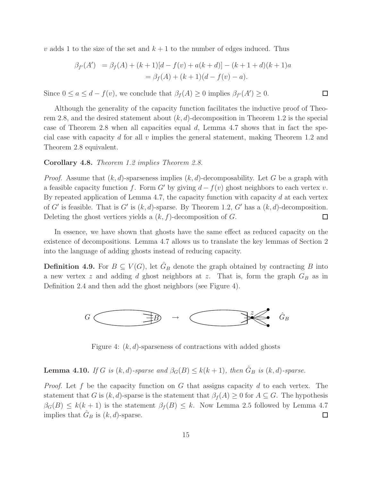v adds 1 to the size of the set and  $k + 1$  to the number of edges induced. Thus

$$
\beta_{f'}(A') = \beta_f(A) + (k+1)[d - f(v) + a(k+d)] - (k+1+d)(k+1)a
$$
  
=  $\beta_f(A) + (k+1)(d - f(v) - a).$ 

Since  $0 \le a \le d - f(v)$ , we conclude that  $\beta_f(A) \ge 0$  implies  $\beta_{f'}(A') \ge 0$ .

Although the generality of the capacity function facilitates the inductive proof of Theorem 2.8, and the desired statement about  $(k, d)$ -decomposition in Theorem 1.2 is the special case of Theorem 2.8 when all capacities equal  $d$ , Lemma 4.7 shows that in fact the special case with capacity d for all v implies the general statement, making Theorem 1.2 and Theorem 2.8 equivalent.

 $\Box$ 

#### Corollary 4.8. *Theorem 1.2 implies Theorem 2.8.*

*Proof.* Assume that  $(k, d)$ -sparseness implies  $(k, d)$ -decomposability. Let G be a graph with a feasible capacity function f. Form G' by giving  $d - f(v)$  ghost neighbors to each vertex v. By repeated application of Lemma 4.7, the capacity function with capacity  $d$  at each vertex of G' is feasible. That is G' is  $(k, d)$ -sparse. By Theorem 1.2, G' has a  $(k, d)$ -decomposition. Deleting the ghost vertices yields a  $(k, f)$ -decomposition of G.  $\Box$ 

In essence, we have shown that ghosts have the same effect as reduced capacity on the existence of decompositions. Lemma 4.7 allows us to translate the key lemmas of Section 2 into the language of adding ghosts instead of reducing capacity.

**Definition 4.9.** For  $B \subseteq V(G)$ , let  $\hat{G}_B$  denote the graph obtained by contracting B into a new vertex z and adding d ghost neighbors at z. That is, form the graph  $G_B$  as in Definition 2.4 and then add the ghost neighbors (see Figure 4).



Figure 4:  $(k, d)$ -sparseness of contractions with added ghosts

### **Lemma 4.10.** *If* G *is* (k, d)-sparse and  $\beta_G(B) \le k(k+1)$ , then  $\hat{G}_B$  is (k, d)-sparse.

*Proof.* Let f be the capacity function on G that assigns capacity d to each vertex. The statement that G is  $(k, d)$ -sparse is the statement that  $\beta_f(A) \geq 0$  for  $A \subseteq G$ . The hypothesis  $\beta_G(B) \leq k(k+1)$  is the statement  $\beta_f(B) \leq k$ . Now Lemma 2.5 followed by Lemma 4.7 implies that  $\hat{G}_B$  is  $(k, d)$ -sparse.  $\Box$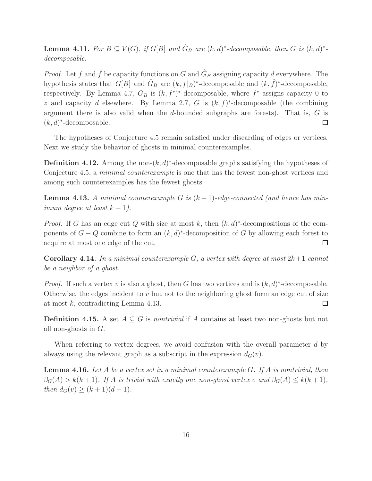**Lemma 4.11.** For  $B \subseteq V(G)$ , if  $G[B]$  and  $\hat{G}_B$  are  $(k, d)^*$ -decomposable, then G is  $(k, d)^*$ *decomposable.*

*Proof.* Let f and  $\hat{f}$  be capacity functions on G and  $\hat{G}_B$  assigning capacity d everywhere. The hypothesis states that  $G[B]$  and  $\hat{G}_B$  are  $(k, f|_B)^*$ -decomposable and  $(k, \hat{f})^*$ -decomposable, respectively. By Lemma 4.7,  $G_B$  is  $(k, f^*)^*$ -decomposable, where  $f^*$  assigns capacity 0 to z and capacity d elsewhere. By Lemma 2.7, G is  $(k, f)^*$ -decomposable (the combining argument there is also valid when the d-bounded subgraphs are forests). That is,  $G$  is  $(k, d)^*$ -decomposable.  $\Box$ 

The hypotheses of Conjecture 4.5 remain satisfied under discarding of edges or vertices. Next we study the behavior of ghosts in minimal counterexamples.

**Definition 4.12.** Among the non- $(k, d)^*$ -decomposable graphs satisfying the hypotheses of Conjecture 4.5, a *minimal counterexample* is one that has the fewest non-ghost vertices and among such counterexamples has the fewest ghosts.

Lemma 4.13. *A minimal counterexample* G *is* (k + 1)*-edge-connected (and hence has minimum degree at least*  $k + 1$ *).* 

*Proof.* If G has an edge cut Q with size at most k, then  $(k, d)^*$ -decompositions of the components of  $G - Q$  combine to form an  $(k, d)^*$ -decomposition of G by allowing each forest to acquire at most one edge of the cut.  $\Box$ 

Corollary 4.14. In a minimal counterexample  $G$ , a vertex with degree at most  $2k+1$  cannot *be a neighbor of a ghost.*

*Proof.* If such a vertex v is also a ghost, then G has two vertices and is  $(k, d)^*$ -decomposable. Otherwise, the edges incident to  $v$  but not to the neighboring ghost form an edge cut of size at most  $k$ , contradicting Lemma 4.13.  $\Box$ 

**Definition 4.15.** A set  $A \subseteq G$  is *nontrivial* if A contains at least two non-ghosts but not all non-ghosts in G.

When referring to vertex degrees, we avoid confusion with the overall parameter d by always using the relevant graph as a subscript in the expression  $d_G(v)$ .

Lemma 4.16. *Let* A *be a vertex set in a minimal counterexample* G*. If* A *is nontrivial, then*  $\beta_G(A) > k(k+1)$ . If A is trivial with exactly one non-ghost vertex v and  $\beta_G(A) \leq k(k+1)$ , *then*  $d_G(v) \ge (k+1)(d+1)$ .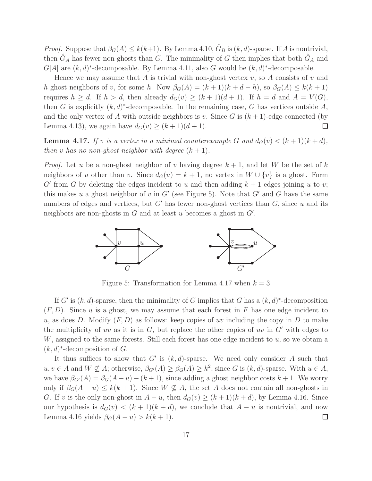*Proof.* Suppose that  $\beta_G(A) \leq k(k+1)$ . By Lemma 4.10,  $\hat{G}_B$  is  $(k, d)$ -sparse. If A is nontrivial, then  $\hat{G}_A$  has fewer non-ghosts than G. The minimality of G then implies that both  $\hat{G}_A$  and  $G[A]$  are  $(k, d)^*$ -decomposable. By Lemma 4.11, also G would be  $(k, d)^*$ -decomposable.

Hence we may assume that  $A$  is trivial with non-ghost vertex  $v$ , so  $A$  consists of  $v$  and h ghost neighbors of v, for some h. Now  $\beta_G(A) = (k+1)(k+d-h)$ , so  $\beta_G(A) \leq k(k+1)$ requires  $h \geq d$ . If  $h > d$ , then already  $d_G(v) \geq (k+1)(d+1)$ . If  $h = d$  and  $A = V(G)$ , then G is explicitly  $(k, d)^*$ -decomposable. In the remaining case, G has vertices outside A, and the only vertex of A with outside neighbors is v. Since G is  $(k+1)$ -edge-connected (by Lemma 4.13), we again have  $d_G(v) \ge (k+1)(d+1)$ .  $\Box$ 

**Lemma 4.17.** If v is a vertex in a minimal counterexample G and  $d_G(v) < (k+1)(k+d)$ , *then* v *has no non-ghost neighbor with degree*  $(k+1)$ *.* 

*Proof.* Let u be a non-ghost neighbor of v having degree  $k + 1$ , and let W be the set of k neighbors of u other than v. Since  $d_G(u) = k + 1$ , no vertex in  $W \cup \{v\}$  is a ghost. Form G' from G by deleting the edges incident to u and then adding  $k + 1$  edges joining u to v; this makes u a ghost neighbor of v in  $G'$  (see Figure 5). Note that  $G'$  and G have the same numbers of edges and vertices, but  $G'$  has fewer non-ghost vertices than  $G$ , since u and its neighbors are non-ghosts in  $G$  and at least  $u$  becomes a ghost in  $G'$ .



Figure 5: Transformation for Lemma 4.17 when  $k = 3$ 

If G' is  $(k, d)$ -sparse, then the minimality of G implies that G has a  $(k, d)^*$ -decomposition  $(F, D)$ . Since u is a ghost, we may assume that each forest in F has one edge incident to u, as does D. Modify  $(F, D)$  as follows: keep copies of uv including the copy in D to make the multiplicity of uv as it is in  $G$ , but replace the other copies of uv in  $G'$  with edges to  $W$ , assigned to the same forests. Still each forest has one edge incident to  $u$ , so we obtain a  $(k, d)^*$ -decomposition of G.

It thus suffices to show that  $G'$  is  $(k, d)$ -sparse. We need only consider A such that  $u, v \in A$  and  $W \nsubseteq A$ ; otherwise,  $\beta_{G'}(A) \geq \beta_G(A) \geq k^2$ , since G is  $(k, d)$ -sparse. With  $u \in A$ , we have  $\beta_{G'}(A) = \beta_G(A - u) - (k + 1)$ , since adding a ghost neighbor costs  $k + 1$ . We worry only if  $\beta_G(A - u) \leq k(k+1)$ . Since  $W \nsubseteq A$ , the set A does not contain all non-ghosts in G. If v is the only non-ghost in  $A - u$ , then  $d_G(v) \ge (k+1)(k+d)$ , by Lemma 4.16. Since our hypothesis is  $d_G(v) < (k+1)(k+d)$ , we conclude that  $A - u$  is nontrivial, and now Lemma 4.16 yields  $\beta_G(A - u) > k(k + 1)$ .  $\Box$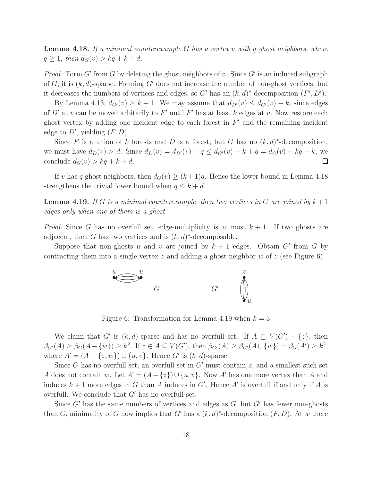Lemma 4.18. *If a minimal counterexample* G *has a vertex* v *with* q *ghost neighbors, where*  $q \geq 1$ *, then*  $d_G(v) > kq + k + d$ *.* 

*Proof.* Form  $G'$  from  $G$  by deleting the ghost neighbors of  $v$ . Since  $G'$  is an induced subgraph of G, it is  $(k, d)$ -sparse. Forming G' does not increase the number of non-ghost vertices, but it decreases the numbers of vertices and edges, so G' has an  $(k, d)^*$ -decomposition  $(F', D')$ .

By Lemma 4.13,  $d_{G'}(v) \geq k+1$ . We may assume that  $d_{D'}(v) \leq d_{G'}(v) - k$ , since edges of  $D'$  at v can be moved arbitarily to F' until F' has at least k edges at v. Now restore each ghost vertex by adding one incident edge to each forest in  $F'$  and the remaining incident edge to  $D'$ , yielding  $(F, D)$ .

Since F is a union of k forests and D is a forest, but G has no  $(k, d)^*$ -decomposition, we must have  $d_D(v) > d$ . Since  $d_D(v) = d_{D'}(v) + q \leq d_{G'}(v) - k + q = d_G(v) - kq - k$ , we conclude  $d_G(v) > kq + k + d$ .  $\Box$ 

If v has q ghost neighbors, then  $d_G(v) \ge (k+1)q$ . Hence the lower bound in Lemma 4.18 strengthens the trivial lower bound when  $q \leq k + d$ .

**Lemma 4.19.** If G is a minimal counterexample, then two vertices in G are joined by  $k+1$ *edges only when one of them is a ghost.*

*Proof.* Since G has no overfull set, edge-multiplicity is at most  $k + 1$ . If two ghosts are adjacent, then G has two vertices and is  $(k, d)^*$ -decomposable.

Suppose that non-ghosts u and v are joined by  $k + 1$  edges. Obtain G' from G by contracting them into a single vertex z and adding a ghost neighbor w of z (see Figure 6).



Figure 6: Transformation for Lemma 4.19 when  $k = 3$ 

We claim that G' is  $(k, d)$ -sparse and has no overfull set. If  $A \subseteq V(G') - \{z\}$ , then  $\beta_{G'}(A) \geq \beta_G(A - \{w\}) \geq k^2$ . If  $z \in A \subseteq V(G')$ , then  $\beta_{G'}(A) \geq \beta_{G'}(A \cup \{w\}) = \beta_G(A') \geq k^2$ , where  $A' = (A - \{z, w\}) \cup \{u, v\}$ . Hence G' is  $(k, d)$ -sparse.

Since G has no overfull set, an overfull set in  $G'$  must contain z, and a smallest such set A does not contain w. Let  $A' = (A - \{z\}) \cup \{u, v\}$ . Now A' has one more vertex than A and induces  $k+1$  more edges in G than A induces in G'. Hence A' is overfull if and only if A is overfull. We conclude that  $G'$  has no overfull set.

Since  $G'$  has the same numbers of vertices and edges as  $G$ , but  $G'$  has fewer non-ghosts than G, minimality of G now implies that G' has a  $(k, d)^*$ -decomposition  $(F, D)$ . At w there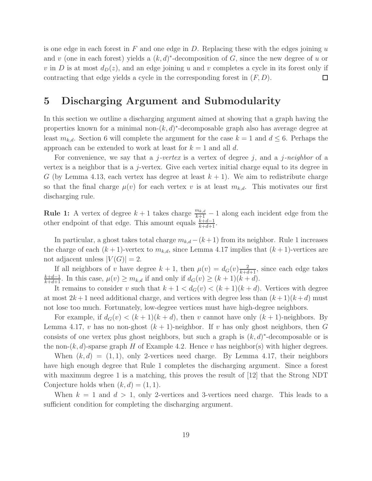is one edge in each forest in  $F$  and one edge in  $D$ . Replacing these with the edges joining  $u$ and v (one in each forest) yields a  $(k, d)^*$ -decomposition of G, since the new degree of u or v in D is at most  $d_D(z)$ , and an edge joining u and v completes a cycle in its forest only if contracting that edge yields a cycle in the corresponding forest in  $(F, D)$ . □

## 5 Discharging Argument and Submodularity

In this section we outline a discharging argument aimed at showing that a graph having the properties known for a minimal non- $(k, d)^*$ -decomposable graph also has average degree at least  $m_{k,d}$ . Section 6 will complete the argument for the case  $k = 1$  and  $d \leq 6$ . Perhaps the approach can be extended to work at least for  $k = 1$  and all d.

For convenience, we say that a j*-vertex* is a vertex of degree j, and a j*-neighbor* of a vertex is a neighbor that is a j-vertex. Give each vertex initial charge equal to its degree in G (by Lemma 4.13, each vertex has degree at least  $k + 1$ ). We aim to redistribute charge so that the final charge  $\mu(v)$  for each vertex v is at least  $m_{k,d}$ . This motivates our first discharging rule.

**Rule 1:** A vertex of degree  $k+1$  takes charge  $\frac{m_{k,d}}{k+1} - 1$  along each incident edge from the other endpoint of that edge. This amount equals  $\frac{k+d-1}{k+d+1}$ .

In particular, a ghost takes total charge  $m_{k,d} - (k+1)$  from its neighbor. Rule 1 increases the charge of each  $(k + 1)$ -vertex to  $m_{k,d}$ , since Lemma 4.17 implies that  $(k + 1)$ -vertices are not adjacent unless  $|V(G)| = 2$ .

If all neighbors of v have degree  $k + 1$ , then  $\mu(v) = d_G(v) \frac{2}{k + d + 1}$ , since each edge takes  $\frac{k+d-1}{k+d+1}$ . In this case,  $\mu(v) \ge m_{k,d}$  if and only if  $d_G(v) \ge (k+1)(k+d)$ .

It remains to consider v such that  $k + 1 < d_G(v) < (k + 1)(k + d)$ . Vertices with degree at most  $2k+1$  need additional charge, and vertices with degree less than  $(k+1)(k+d)$  must not lose too much. Fortunately, low-degree vertices must have high-degree neighbors.

For example, if  $d_G(v) < (k+1)(k+d)$ , then v cannot have only  $(k+1)$ -neighbors. By Lemma 4.17, v has no non-ghost  $(k + 1)$ -neighbor. If v has only ghost neighbors, then G consists of one vertex plus ghost neighbors, but such a graph is  $(k, d)^*$ -decomposable or is the non- $(k, d)$ -sparse graph H of Example 4.2. Hence v has neighbor(s) with higher degrees.

When  $(k, d) = (1, 1)$ , only 2-vertices need charge. By Lemma 4.17, their neighbors have high enough degree that Rule 1 completes the discharging argument. Since a forest with maximum degree 1 is a matching, this proves the result of [12] that the Strong NDT Conjecture holds when  $(k, d) = (1, 1)$ .

When  $k = 1$  and  $d > 1$ , only 2-vertices and 3-vertices need charge. This leads to a sufficient condition for completing the discharging argument.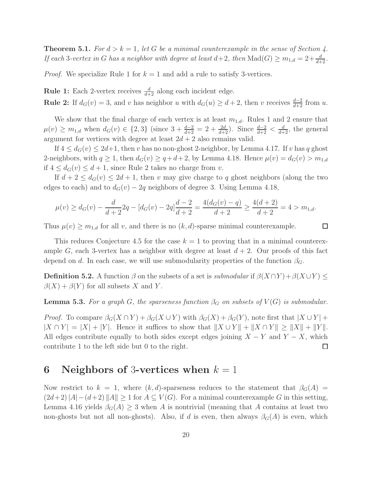**Theorem 5.1.** *For*  $d > k = 1$ *, let* G *be a minimal counterexample in the sense of Section 4. If each* 3*-vertex in G has a neighbor with degree at least*  $d+2$ *, then*  $\text{Mad}(G) \geq m_{1,d} = 2 + \frac{d}{d+2}$ *.* 

*Proof.* We specialize Rule 1 for  $k = 1$  and add a rule to satisfy 3-vertices.

**Rule 1:** Each 2-vertex receives  $\frac{d}{d+2}$  along each incident edge.

**Rule 2:** If  $d_G(v) = 3$ , and v has neighbor u with  $d_G(u) \geq d+2$ , then v receives  $\frac{d-2}{d+2}$  from u.

We show that the final charge of each vertex is at least  $m_{1,d}$ . Rules 1 and 2 ensure that  $\mu(v) \geq m_{1,d}$  when  $d_G(v) \in \{2,3\}$  (since  $3 + \frac{d-2}{d+2} = 2 + \frac{2d}{d+2}$ ). Since  $\frac{d-2}{d+2} < \frac{d}{d+2}$ , the general argument for vertices with degree at least  $2d + 2$  also remains valid.

If  $4 \leq d_G(v) \leq 2d+1$ , then v has no non-ghost 2-neighbor, by Lemma 4.17. If v has q ghost 2-neighbors, with  $q \ge 1$ , then  $d_G(v) \ge q + d + 2$ , by Lemma 4.18. Hence  $\mu(v) = d_G(v) > m_{1,d}$ if  $4 \leq d_G(v) \leq d+1$ , since Rule 2 takes no charge from v.

If  $d+2 \leq d_G(v) \leq 2d+1$ , then v may give charge to q ghost neighbors (along the two edges to each) and to  $d_G(v) - 2q$  neighbors of degree 3. Using Lemma 4.18,

$$
\mu(v) \ge d_G(v) - \frac{d}{d+2}2q - [d_G(v) - 2q]\frac{d-2}{d+2} = \frac{4(d_G(v) - q)}{d+2} \ge \frac{4(d+2)}{d+2} = 4 > m_{1,d}.
$$

 $\Box$ 

Thus  $\mu(v) \geq m_{1,d}$  for all v, and there is no  $(k,d)$ -sparse minimal counterexample.

This reduces Conjecture 4.5 for the case  $k = 1$  to proving that in a minimal counterexample G, each 3-vertex has a neighbor with degree at least  $d + 2$ . Our proofs of this fact depend on d. In each case, we will use submodularity properties of the function  $\beta_G$ .

**Definition 5.2.** A function  $\beta$  on the subsets of a set is *submodular* if  $\beta(X \cap Y) + \beta(X \cup Y) \leq$  $\beta(X) + \beta(Y)$  for all subsets X and Y.

**Lemma 5.3.** *For a graph G*, *the sparseness function*  $\beta_G$  *on subsets of*  $V(G)$  *is submodular.* 

*Proof.* To compare  $\beta_G(X \cap Y) + \beta_G(X \cup Y)$  with  $\beta_G(X) + \beta_G(Y)$ , note first that  $|X \cup Y|$  +  $|X \cap Y| = |X| + |Y|$ . Hence it suffices to show that  $||X \cup Y|| + ||X \cap Y|| \ge ||X|| + ||Y||$ . All edges contribute equally to both sides except edges joining  $X - Y$  and  $Y - X$ , which contribute 1 to the left side but 0 to the right. □

## 6 Neighbors of 3-vertices when  $k = 1$

Now restrict to  $k = 1$ , where  $(k, d)$ -sparseness reduces to the statement that  $\beta_G(A)$  $(2d+2)|A|-(d+2)$   $||A|| \ge 1$  for  $A \subseteq V(G)$ . For a minimal counterexample G in this setting, Lemma 4.16 yields  $\beta_G(A) \geq 3$  when A is nontrivial (meaning that A contains at least two non-ghosts but not all non-ghosts). Also, if d is even, then always  $\beta_G(A)$  is even, which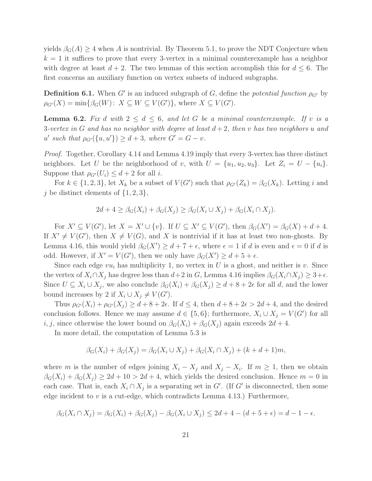yields  $\beta_G(A) \geq 4$  when A is nontrivial. By Theorem 5.1, to prove the NDT Conjecture when  $k = 1$  it suffices to prove that every 3-vertex in a minimal counterexample has a neighbor with degree at least  $d + 2$ . The two lemmas of this section accomplish this for  $d \leq 6$ . The first concerns an auxiliary function on vertex subsets of induced subgraphs.

**Definition 6.1.** When  $G'$  is an induced subgraph of  $G$ , define the *potential function*  $\rho_{G'}$  by  $\rho_{G'}(X) = \min\{\beta_G(W): X \subseteq W \subseteq V(G')\},\$  where  $X \subseteq V(G')$ .

**Lemma 6.2.** Fix d with  $2 \leq d \leq 6$ , and let G be a minimal counterexample. If v is a 3-vertex in G and has no neighbor with degree at least  $d+2$ , then v has two neighbors u and  $u'$  such that  $\rho_{G'}(\{u, u'\}) \ge d + 3$ , where  $G' = G - v$ .

*Proof.* Together, Corollary 4.14 and Lemma 4.19 imply that every 3-vertex has three distinct neighbors. Let U be the neighborhood of v, with  $U = \{u_1, u_2, u_3\}$ . Let  $Z_i = U - \{u_i\}$ . Suppose that  $\rho_{G'}(U_i) \leq d+2$  for all *i*.

For  $k \in \{1, 2, 3\}$ , let  $X_k$  be a subset of  $V(G')$  such that  $\rho_{G'}(Z_k) = \beta_G(X_k)$ . Letting i and j be distinct elements of  $\{1, 2, 3\}$ ,

$$
2d + 4 \ge \beta_G(X_i) + \beta_G(X_j) \ge \beta_G(X_i \cup X_j) + \beta_G(X_i \cap X_j).
$$

For  $X' \subseteq V(G')$ , let  $X = X' \cup \{v\}$ . If  $U \subseteq X' \subseteq V(G')$ , then  $\beta_G(X') = \beta_G(X) + d + 4$ . If  $X' \neq V(G')$ , then  $X \neq V(G)$ , and X is nontrivial if it has at least two non-ghosts. By Lemma 4.16, this would yield  $\beta_G(X') \geq d + 7 + \epsilon$ , where  $\epsilon = 1$  if d is even and  $\epsilon = 0$  if d is odd. However, if  $X' = V(G')$ , then we only have  $\beta_G(X') \geq d + 5 + \epsilon$ .

Since each edge  $vu_i$  has multiplicity 1, no vertex in U is a ghost, and neither is v. Since the vertex of  $X_i \cap X_j$  has degree less than  $d+2$  in G, Lemma 4.16 implies  $\beta_G(X_i \cap X_j) \geq 3+\epsilon$ . Since  $U \subseteq X_i \cup X_j$ , we also conclude  $\beta_G(X_i) + \beta_G(X_j) \geq d + 8 + 2\epsilon$  for all d, and the lower bound increases by 2 if  $X_i \cup X_j \neq V(G')$ .

Thus  $\rho_{G'}(X_i) + \rho_{G'}(X_j) \geq d + 8 + 2\epsilon$ . If  $d \leq 4$ , then  $d + 8 + 2\epsilon > 2d + 4$ , and the desired conclusion follows. Hence we may assume  $d \in \{5,6\}$ ; furthermore,  $X_i \cup X_j = V(G')$  for all i, j, since otherwise the lower bound on  $\beta_G(X_i) + \beta_G(X_i)$  again exceeds  $2d + 4$ .

In more detail, the computation of Lemma 5.3 is

$$
\beta_G(X_i) + \beta_G(X_j) = \beta_G(X_i \cup X_j) + \beta_G(X_i \cap X_j) + (k + d + 1)m,
$$

where m is the number of edges joining  $X_i - X_j$  and  $X_j - X_i$ . If  $m \geq 1$ , then we obtain  $\beta_G(X_i) + \beta_G(X_j) \geq 2d + 10 > 2d + 4$ , which yields the desired conclusion. Hence  $m = 0$  in each case. That is, each  $X_i \cap X_j$  is a separating set in G'. (If G' is disconnected, then some edge incident to  $v$  is a cut-edge, which contradicts Lemma 4.13.) Furthermore,

$$
\beta_G(X_i \cap X_j) = \beta_G(X_i) + \beta_G(X_j) - \beta_G(X_i \cup X_j) \le 2d + 4 - (d + 5 + \epsilon) = d - 1 - \epsilon.
$$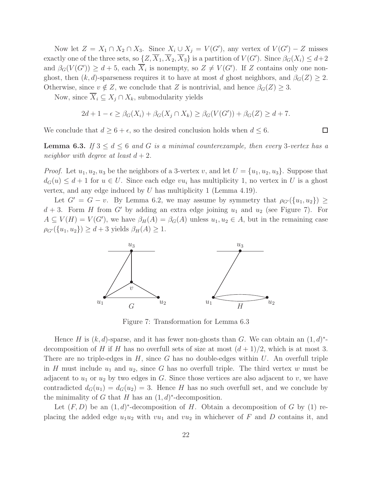Now let  $Z = X_1 \cap X_2 \cap X_3$ . Since  $X_i \cup X_j = V(G')$ , any vertex of  $V(G') - Z$  misses exactly one of the three sets, so  $\{Z, \overline{X}_1, \overline{X}_2, \overline{X}_3\}$  is a partition of  $V(G')$ . Since  $\beta_G(X_i) \leq d+2$ and  $\beta_G(V(G')) \geq d+5$ , each  $\overline{X}_i$  is nonempty, so  $Z \neq V(G')$ . If Z contains only one nonghost, then  $(k, d)$ -sparseness requires it to have at most d ghost neighbors, and  $\beta_G(Z) \geq 2$ . Otherwise, since  $v \notin Z$ , we conclude that Z is nontrivial, and hence  $\beta_G(Z) \geq 3$ .

Now, since  $\overline{X}_i \subseteq X_j \cap X_k$ , submodularity yields

$$
2d + 1 - \epsilon \ge \beta_G(X_i) + \beta_G(X_j \cap X_k) \ge \beta_G(V(G')) + \beta_G(Z) \ge d + 7.
$$

We conclude that  $d \geq 6 + \epsilon$ , so the desired conclusion holds when  $d \leq 6$ .

**Lemma 6.3.** If  $3 \leq d \leq 6$  and G is a minimal counterexample, then every 3-vertex has a *neighbor with degree at least*  $d + 2$ *.* 

*Proof.* Let  $u_1, u_2, u_3$  be the neighbors of a 3-vertex v, and let  $U = \{u_1, u_2, u_3\}$ . Suppose that  $d_G(u) \leq d+1$  for  $u \in U$ . Since each edge  $vu_i$  has multiplicity 1, no vertex in U is a ghost vertex, and any edge induced by  $U$  has multiplicity 1 (Lemma 4.19).

Let  $G' = G - v$ . By Lemma 6.2, we may assume by symmetry that  $\rho_{G'}(\{u_1, u_2\}) \ge$  $d + 3$ . Form H from G' by adding an extra edge joining  $u_1$  and  $u_2$  (see Figure 7). For  $A \subseteq V(H) = V(G')$ , we have  $\beta_H(A) = \beta_G(A)$  unless  $u_1, u_2 \in A$ , but in the remaining case  $\rho_{G'}(\{u_1, u_2\}) \geq d + 3$  yields  $\beta_H(A) \geq 1$ .



Figure 7: Transformation for Lemma 6.3

Hence H is  $(k, d)$ -sparse, and it has fewer non-ghosts than G. We can obtain an  $(1, d)^*$ decomposition of H if H has no overfull sets of size at most  $(d+1)/2$ , which is at most 3. There are no triple-edges in  $H$ , since G has no double-edges within  $U$ . An overfull triple in H must include  $u_1$  and  $u_2$ , since G has no overfull triple. The third vertex w must be adjacent to  $u_1$  or  $u_2$  by two edges in G. Since those vertices are also adjacent to v, we have contradicted  $d_G(u_1) = d_G(u_2) = 3$ . Hence H has no such overfull set, and we conclude by the minimality of G that H has an  $(1, d)^*$ -decomposition.

Let  $(F, D)$  be an  $(1, d)^*$ -decomposition of H. Obtain a decomposition of G by (1) replacing the added edge  $u_1u_2$  with  $vu_1$  and  $vu_2$  in whichever of F and D contains it, and

 $\Box$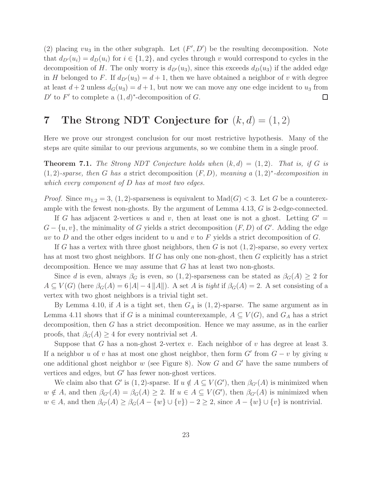(2) placing  $vu_3$  in the other subgraph. Let  $(F', D')$  be the resulting decomposition. Note that  $d_{D'}(u_i) = d_D(u_i)$  for  $i \in \{1,2\}$ , and cycles through v would correspond to cycles in the decomposition of H. The only worry is  $d_{D'}(u_3)$ , since this exceeds  $d_D(u_3)$  if the added edge in H belonged to F. If  $d_{D'}(u_3) = d+1$ , then we have obtained a neighbor of v with degree at least  $d + 2$  unless  $d_G(u_3) = d + 1$ , but now we can move any one edge incident to  $u_3$  from D' to F' to complete a  $(1, d)^*$ -decomposition of G.  $\Box$ 

## 7 The Strong NDT Conjecture for  $(k, d) = (1, 2)$

Here we prove our strongest conclusion for our most restrictive hypothesis. Many of the steps are quite similar to our previous arguments, so we combine them in a single proof.

**Theorem 7.1.** *The Strong NDT Conjecture holds when*  $(k, d) = (1, 2)$ *. That is, if* G *is* (1, 2)*-sparse, then* G *has a* strict decomposition (F, D)*, meaning a* (1, 2)<sup>∗</sup> *-decomposition in which every component of* D *has at most two edges.*

*Proof.* Since  $m_{1,2} = 3$ , (1, 2)-sparseness is equivalent to  $\text{Mad}(G) < 3$ . Let G be a counterexample with the fewest non-ghosts. By the argument of Lemma 4.13, G is 2-edge-connected.

If G has adjacent 2-vertices u and v, then at least one is not a ghost. Letting  $G' =$  $G - \{u, v\}$ , the minimality of G yields a strict decomposition  $(F, D)$  of G'. Adding the edge uv to D and the other edges incident to u and v to F yields a strict decomposition of  $G$ .

If G has a vertex with three ghost neighbors, then G is not  $(1, 2)$ -sparse, so every vertex has at most two ghost neighbors. If G has only one non-ghost, then G explicitly has a strict decomposition. Hence we may assume that  $G$  has at least two non-ghosts.

Since d is even, always  $\beta_G$  is even, so  $(1, 2)$ -sparseness can be stated as  $\beta_G(A) \geq 2$  for  $A \subseteq V(G)$  (here  $\beta_G(A) = 6 |A| - 4 ||A||$ ). A set A is *tight* if  $\beta_G(A) = 2$ . A set consisting of a vertex with two ghost neighbors is a trivial tight set.

By Lemma 4.10, if A is a tight set, then  $G_A$  is  $(1, 2)$ -sparse. The same argument as in Lemma 4.11 shows that if G is a minimal counterexample,  $A \subseteq V(G)$ , and  $G_A$  has a strict decomposition, then G has a strict decomposition. Hence we may assume, as in the earlier proofs, that  $\beta_G(A) \geq 4$  for every nontrivial set A.

Suppose that G has a non-ghost 2-vertex v. Each neighbor of v has degree at least 3. If a neighbor u of v has at most one ghost neighbor, then form  $G'$  from  $G - v$  by giving u one additional ghost neighbor  $w$  (see Figure 8). Now  $G$  and  $G'$  have the same numbers of vertices and edges, but  $G'$  has fewer non-ghost vertices.

We claim also that G' is (1, 2)-sparse. If  $u \notin A \subseteq V(G')$ , then  $\beta_{G'}(A)$  is minimized when  $w \notin A$ , and then  $\beta_{G'}(A) = \beta_G(A) \geq 2$ . If  $u \in A \subseteq V(G')$ , then  $\beta_{G'}(A)$  is minimized when  $w \in A$ , and then  $\beta_{G'}(A) \geq \beta_G(A - \{w\} \cup \{v\}) - 2 \geq 2$ , since  $A - \{w\} \cup \{v\}$  is nontrivial.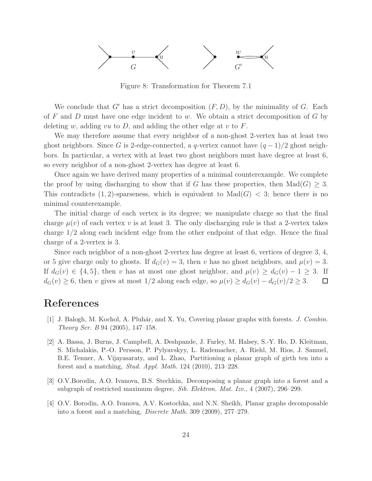

Figure 8: Transformation for Theorem 7.1

We conclude that  $G'$  has a strict decomposition  $(F, D)$ , by the minimality of  $G$ . Each of F and D must have one edge incident to w. We obtain a strict decomposition of  $G$  by deleting w, adding vu to  $D$ , and adding the other edge at v to  $F$ .

We may therefore assume that every neighbor of a non-ghost 2-vertex has at least two ghost neighbors. Since G is 2-edge-connected, a q-vertex cannot have  $(q-1)/2$  ghost neighbors. In particular, a vertex with at least two ghost neighbors must have degree at least 6, so every neighbor of a non-ghost 2-vertex has degree at least 6.

Once again we have derived many properties of a minimal counterexample. We complete the proof by using discharging to show that if G has these properties, then  $\text{Mad}(G) \geq 3$ . This contradicts  $(1, 2)$ -sparseness, which is equivalent to  $Mad(G) < 3$ ; hence there is no minimal counterexample.

The initial charge of each vertex is its degree; we manipulate charge so that the final charge  $\mu(v)$  of each vertex v is at least 3. The only discharging rule is that a 2-vertex takes charge 1/2 along each incident edge from the other endpoint of that edge. Hence the final charge of a 2-vertex is 3.

Since each neighbor of a non-ghost 2-vertex has degree at least 6, vertices of degree 3, 4, or 5 give charge only to ghosts. If  $d_G(v) = 3$ , then v has no ghost neighbors, and  $\mu(v) = 3$ . If  $d_G(v) \in \{4, 5\}$ , then v has at most one ghost neighbor, and  $\mu(v) \geq d_G(v) - 1 \geq 3$ . If  $d_G(v) \geq 6$ , then v gives at most 1/2 along each edge, so  $\mu(v) \geq d_G(v) - d_G(v)/2 \geq 3$ .  $\Box$ 

## References

- [1] J. Balogh, M. Kochol, A. Pluhár, and X. Yu, Covering planar graphs with forests. J. Combin. Theory Ser. B 94 (2005), 147–158.
- [2] A. Bassa, J. Burns, J. Campbell, A. Deshpande, J. Farley, M. Halsey, S.-Y. Ho, D. Kleitman, S. Michalakis, P.-O. Persson, P. Pylyavskyy, L. Rademacher, A. Riehl, M. Rios, J. Samuel, B.E. Tenner, A. Vijayasaraty, and L. Zhao, Partitioning a planar graph of girth ten into a forest and a matching, Stud. Appl. Math. 124 (2010), 213–228.
- [3] O.V.Borodin, A.O. Ivanova, B.S. Stechkin, Decomposing a planar graph into a forest and a subgraph of restricted maximum degree, Sib. Elektron. Mat. Izv., 4 (2007), 296–299.
- [4] O.V. Borodin, A.O. Ivanova, A.V. Kostochka, and N.N. Sheikh, Planar graphs decomposable into a forest and a matching, Discrete Math. 309 (2009), 277–279.